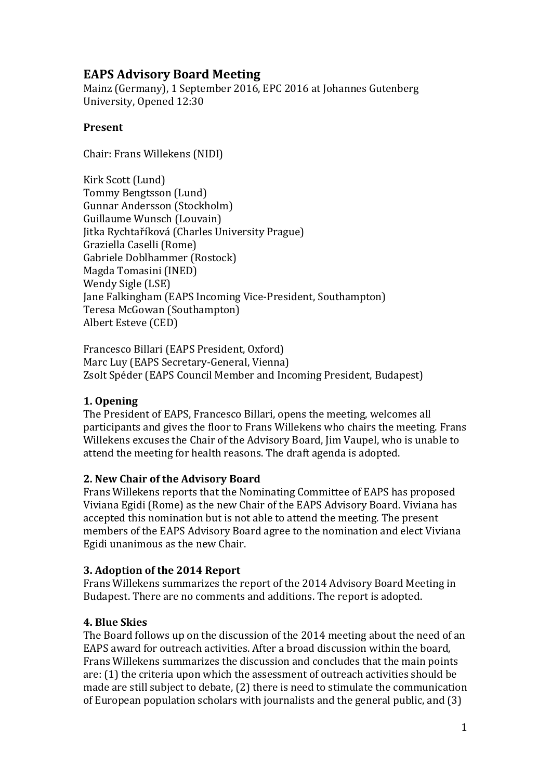# **EAPS Advisory Board Meeting**

Mainz (Germany), 1 September 2016, EPC 2016 at Johannes Gutenberg University, Opened 12:30

#### **Present**

Chair: Frans Willekens (NIDI)

Kirk Scott (Lund) Tommy Bengtsson (Lund) Gunnar Andersson (Stockholm) Guillaume Wunsch (Louvain) Jitka Rychtaříková (Charles University Prague) Graziella Caselli (Rome) Gabriele Doblhammer (Rostock) Magda Tomasini (INED) Wendy Sigle (LSE) Jane Falkingham (EAPS Incoming Vice-President, Southampton) Teresa McGowan (Southampton) Albert Esteve (CED)

Francesco Billari (EAPS President, Oxford) Marc Luy (EAPS Secretary-General, Vienna) Zsolt Spéder (EAPS Council Member and Incoming President, Budapest)

## **1. Opening**

The President of EAPS, Francesco Billari, opens the meeting, welcomes all participants and gives the floor to Frans Willekens who chairs the meeting. Frans Willekens excuses the Chair of the Advisory Board, Jim Vaupel, who is unable to attend the meeting for health reasons. The draft agenda is adopted.

## **2. New Chair of the Advisory Board**

Frans Willekens reports that the Nominating Committee of EAPS has proposed Viviana Egidi (Rome) as the new Chair of the EAPS Advisory Board. Viviana has accepted this nomination but is not able to attend the meeting. The present members of the EAPS Advisory Board agree to the nomination and elect Viviana Egidi unanimous as the new Chair.

## **3. Adoption of the 2014 Report**

Frans Willekens summarizes the report of the 2014 Advisory Board Meeting in Budapest. There are no comments and additions. The report is adopted.

## **4. Blue Skies**

The Board follows up on the discussion of the 2014 meeting about the need of an EAPS award for outreach activities. After a broad discussion within the board, Frans Willekens summarizes the discussion and concludes that the main points are: (1) the criteria upon which the assessment of outreach activities should be made are still subject to debate, (2) there is need to stimulate the communication of European population scholars with journalists and the general public, and (3)